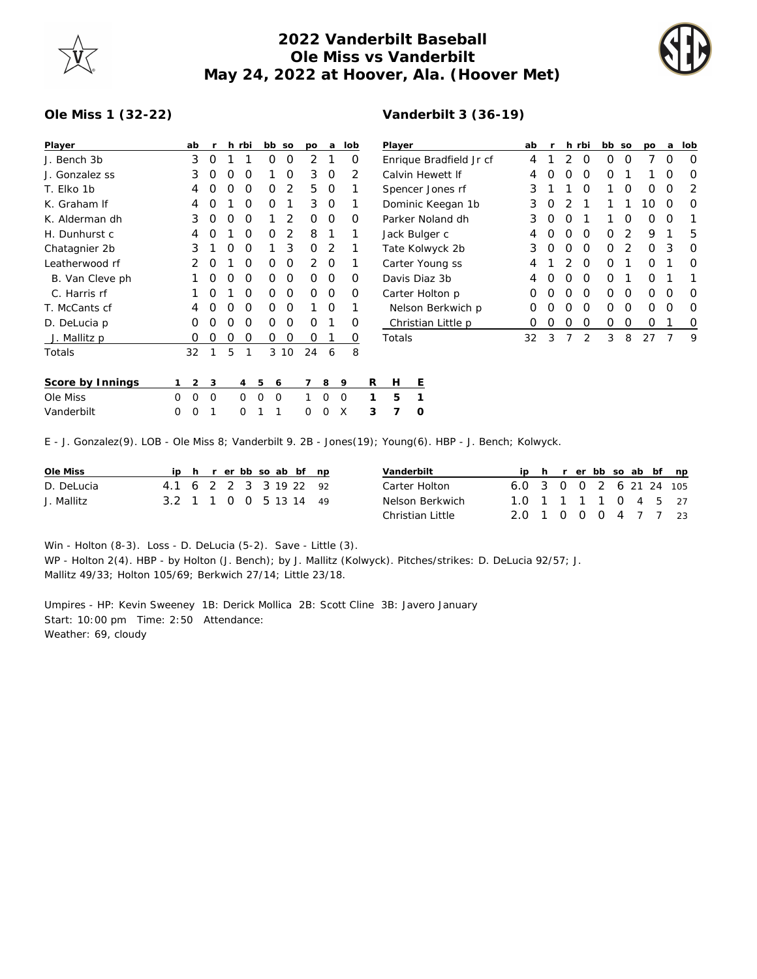

## **2022 Vanderbilt Baseball Ole Miss vs Vanderbilt May 24, 2022 at Hoover, Ala. (Hoover Met)**



## **Ole Miss 1 (32-22)**

| Player           |   | ab       | r | h | rbi | bb |   | SO | po | a | lob |   | Player   |   |  |  |
|------------------|---|----------|---|---|-----|----|---|----|----|---|-----|---|----------|---|--|--|
| J. Bench 3b      |   | 3        | O | 1 | 1   |    | Ω | O  | 2  | 1 | Ο   |   | Enrique  |   |  |  |
| J. Gonzalez ss   |   | 3        | Ο | O | Ο   |    | 1 | Ο  | 3  | O | 2   |   | Calvin H |   |  |  |
| T. Elko 1b       |   | 4        | Ω | O | Ο   |    | Ο | 2  | 5  | O | 1   |   | Spencer  |   |  |  |
| K. Graham If     |   | 4        | Ο | 1 | Ο   |    | Ο | 1  | 3  | O | 1   |   | Dominic  |   |  |  |
| K. Alderman dh   |   | 3        | Ο | O | O   |    | 1 | 2  | O  | O | Ο   |   | Parker N |   |  |  |
| H. Dunhurst c    |   | 4        | Ο | 1 | O   |    | Ο | 2  | 8  | 1 | 1   |   | Jack Bul |   |  |  |
| Chatagnier 2b    |   | 3        | 1 | O | O   |    | 1 | 3  | O  | 2 | 1   |   | Tate Kol |   |  |  |
| Leatherwood rf   |   | 2        | Ο | 1 | Ο   |    | O | O  | 2  | O | 1   |   | Carter Y |   |  |  |
| B. Van Cleve ph  |   | 1        | Ο | O | O   |    | Ο | O  | O  | O | Ο   |   | Davis Di |   |  |  |
| C. Harris rf     |   | 1        | Ο | 1 | O   |    | O | O  | O  | O | O   |   | Carter H |   |  |  |
| T. McCants cf    |   | 4        | Ω | O | O   |    | Ω | O  | 1  | O | 1   |   | Nelson   |   |  |  |
| D. DeLucia p     |   | Ο        | O | O | O   |    | Ο | O  | O  | 1 | Ο   |   | Christia |   |  |  |
| J. Mallitz p     |   | Ο        | Ο | Ο | 0   |    | Ο | Ο  | O  | 1 | O   |   | Totals   |   |  |  |
| Totals           |   | 32       | 1 | 5 | 1   |    | 3 | 10 | 24 | 6 | 8   |   |          |   |  |  |
| Score by Innings | 1 | 2        | 3 |   | 4   | 5  | 6 |    | 7  | 8 | 9   | R | H        | Ε |  |  |
| Ole Miss         | O | 0        | O |   | Ω   | 0  | Ω |    | 1  | O | Ω   | 1 | 5        | 1 |  |  |
|                  |   |          |   |   |     |    |   |    |    |   |     |   |          |   |  |  |
| Vanderbilt       | O | $\Omega$ | 1 |   | Ω   | 1  | 1 |    | Ω  | O | X   | 3 | 7        | 0 |  |  |

## **Vanderbilt 3 (36-19)**

| Player                  | ab | r |               | h rbi | bb | <b>SO</b> | po | a                | lob |
|-------------------------|----|---|---------------|-------|----|-----------|----|------------------|-----|
| Enrique Bradfield Jr cf | 4  | 1 | 2             | Ω     | Ω  | Ω         | 7  | $\left( \right)$ | Ω   |
| Calvin Hewett If        | 4  | Ω | Ω             | ∩     | Ω  | 1         | 1  | ∩                | 0   |
| Spencer Jones rf        | 3  | 1 | 1             | Ω     | 1  | Ω         | Ω  | Ω                | 2   |
| Dominic Keegan 1b       | 3  | Ο | 2             | 1     | 1  | 1         | 10 | Ω                | O   |
| Parker Noland dh        | 3  | O | Ω             | 1     | 1  | O         | Ω  | O                |     |
| Jack Bulger c           | 4  | O | Ω             | ∩     | Ω  | 2         | 9  | 1                | 5   |
| Tate Kolwyck 2b         | 3  | Ω | Ω             | O     | Ω  | 2         | Ω  | 3                | Ω   |
| Carter Young ss         | 4  | 1 | $\mathcal{P}$ | O     | ∩  | 1         | Ω  | 1                | Ω   |
| Davis Diaz 3b           | 4  | Ω | Ω             | ∩     | ∩  | 1         | Ω  | 1                |     |
| Carter Holton p         | Ω  | Ω | Ω             | O     | ∩  | O         | Ω  | O                | Ω   |
| Nelson Berkwich p       | Ω  | Ω | Ω             | Ω     | ∩  | Ω         | ∩  | ∩                | Ω   |
| Christian Little p      | Ω  | Ω | Ω             | Ο     | Ω  | Ω         | Ω  | 1                | 0   |
| Totals                  | 32 | 3 | 7             | 2     | 3  | 8         | 27 | 7                | 9   |

E - J. Gonzalez(9). LOB - Ole Miss 8; Vanderbilt 9. 2B - Jones(19); Young(6). HBP - J. Bench; Kolwyck.

| Ole Miss   |                        |  |  |  | ip h r er bb so ab bf np |  | Vanderbilt       |                         |  |  |  | ip h r er bb so ab bf np |
|------------|------------------------|--|--|--|--------------------------|--|------------------|-------------------------|--|--|--|--------------------------|
| D. DeLucia | 4.1 6 2 2 3 3 19 22 92 |  |  |  |                          |  | Carter Holton    | 6.0 3 0 0 2 6 21 24 105 |  |  |  |                          |
| J. Mallitz | 3.2 1 1 0 0 5 13 14 49 |  |  |  |                          |  | Nelson Berkwich  | 1.0 1 1 1 1 0 4 5 27    |  |  |  |                          |
|            |                        |  |  |  |                          |  | Christian Little | 2.0 1 0 0 0 4 7 7 23    |  |  |  |                          |

Win - Holton (8-3). Loss - D. DeLucia (5-2). Save - Little (3).

WP - Holton 2(4). HBP - by Holton (J. Bench); by J. Mallitz (Kolwyck). Pitches/strikes: D. DeLucia 92/57; J. Mallitz 49/33; Holton 105/69; Berkwich 27/14; Little 23/18.

Umpires - HP: Kevin Sweeney 1B: Derick Mollica 2B: Scott Cline 3B: Javero January Start: 10:00 pm Time: 2:50 Attendance: Weather: 69, cloudy